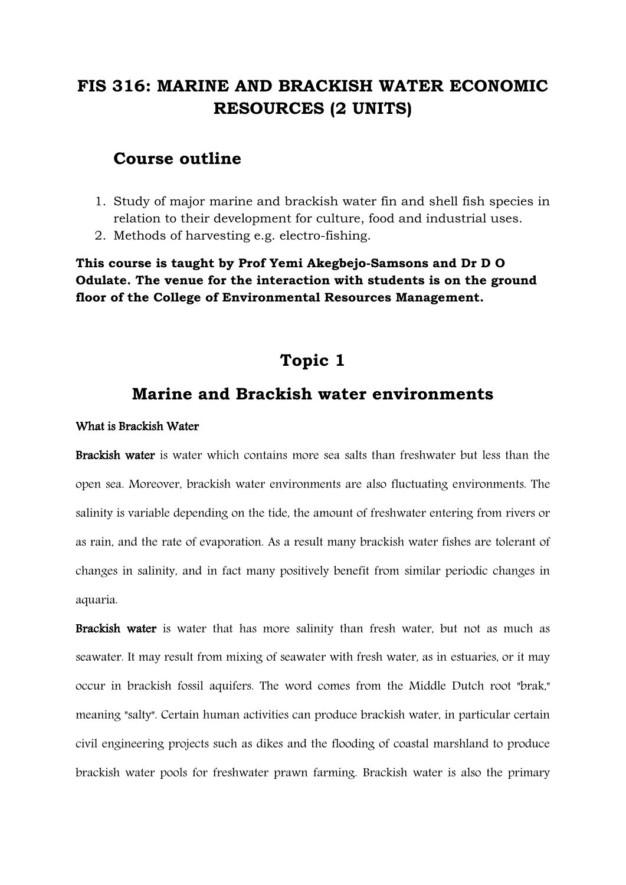# **FIS 316: MARINE AND BRACKISH WATER ECONOMIC RESOURCES (2 UNITS)**

## **Course outline**

- 1. Study of major marine and brackish water fin and shell fish species in relation to their development for culture, food and industrial uses.
- 2. Methods of harvesting e.g. electro-fishing.

**This course is taught by Prof Yemi Akegbejo-Samsons and Dr D O Odulate. The venue for the interaction with students is on the ground floor of the College of Environmental Resources Management.**

## **Topic 1**

## **Marine and Brackish water environments**

#### What is Brackish Water

Brackish water is water which contains more sea salts than freshwater but less than the open sea. Moreover, brackish water environments are also fluctuating environments. The salinity is variable depending on the tide, the amount of freshwater entering from rivers or as rain, and the rate of evaporation. As a result many brackish water fishes are tolerant of changes in salinity, and in fact many positively benefit from similar periodic changes in aquaria.

Brackish water is water that has more [salinity](http://en.wikipedia.org/wiki/Salinity) than fresh water, but not as much as seawater. It may result from mixing of seawater with fresh water, as in [estuaries,](http://en.wikipedia.org/wiki/Estuary) or it may occur in brackish fossil aquifers. The word comes from the Middle Dutch root "brak," meaning "salty". Certain human activities can produce brackish water, in particular certain civil engineering projects such as dikes and the flooding of coastal marshland to produce brackish water pools for freshwater prawn farming. Brackish water is also the primary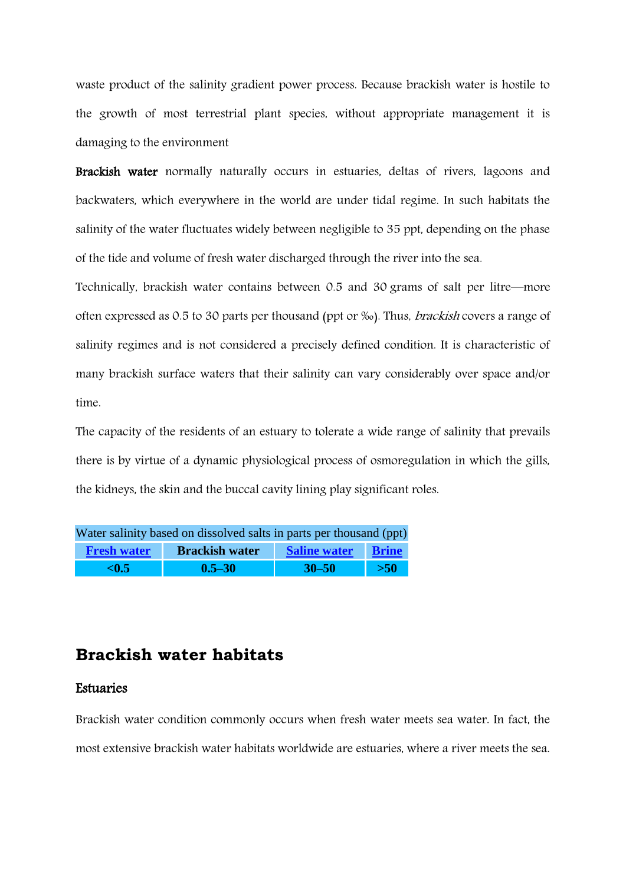waste product of the salinity gradient power process. Because brackish water is hostile to the growth of most terrestrial plant species, without appropriate management it is damaging to the environment

Brackish water normally naturally occurs in estuaries, deltas of rivers, lagoons and backwaters, which everywhere in the world are under tidal regime. In such habitats the salinity of the water fluctuates widely between negligible to 35 ppt, depending on the phase of the tide and volume of fresh water discharged through the river into the sea.

Technically, brackish water contains between 0.5 and 30 grams of [salt](http://en.wikipedia.org/wiki/Salt) per [litre](http://en.wikipedia.org/wiki/Litre)—more often expressed as 0.5 to 30 parts per thousand (ppt or ‰). Thus, brackish covers a range of [salinity regimes](http://en.wikipedia.org/wiki/Salinity#Systems_of_classification_of_water_bodies_based_upon_salinity) and is not considered a precisely defined condition. It is characteristic of many brackish surface waters that their salinity can vary considerably over space and/or time.

The capacity of the residents of an estuary to tolerate a wide range of salinity that prevails there is by virtue of a dynamic physiological process of osmoregulation in which the gills, the kidneys, the skin and the buccal cavity lining play significant roles.

| Water salinity based on dissolved salts in parts per thousand (ppt) |                       |                     |              |
|---------------------------------------------------------------------|-----------------------|---------------------|--------------|
| <b>Fresh water</b>                                                  | <b>Brackish water</b> | <b>Saline water</b> | <b>Brine</b> |
| < 0.5                                                               | $0.5 - 30$            | $30 - 50$           | $>50$        |

## **Brackish water habitats**

### Estuaries

Brackish water condition commonly occurs when fresh water meets sea water. In fact, the most extensive brackish water habitats worldwide are [estuaries,](http://en.wikipedia.org/wiki/Estuary) where a river meets the sea.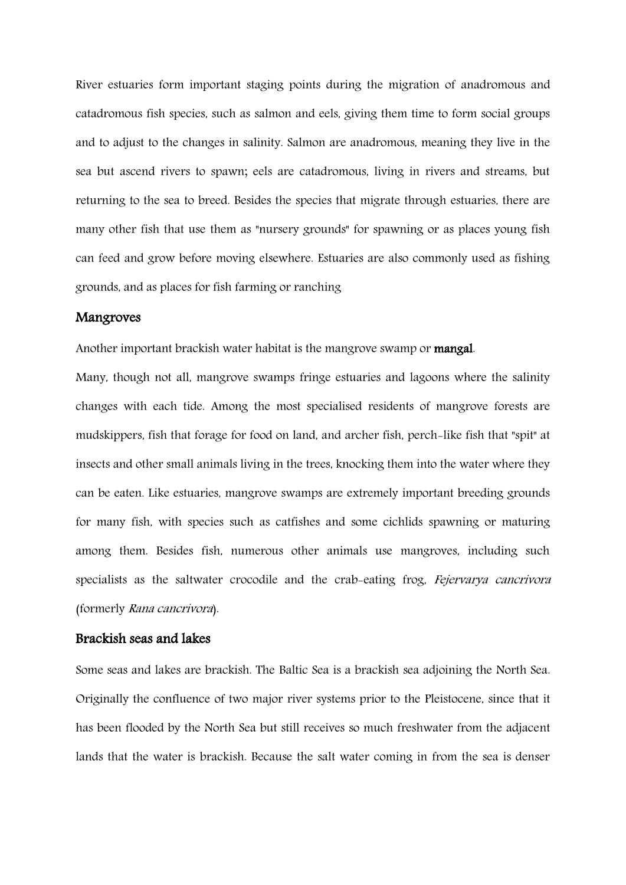River estuaries form important staging points during the migration of [anadromous and](http://en.wikipedia.org/wiki/Fish_migration)  [catadromous](http://en.wikipedia.org/wiki/Fish_migration) fish species, such as [salmon](http://en.wikipedia.org/wiki/Salmon) and [eels,](http://en.wikipedia.org/wiki/Eel) giving them time to form social groups and to adjust to the changes in salinity. Salmon are anadromous, meaning they live in the sea but ascend rivers to spawn; eels are catadromous, living in rivers and streams, but returning to the sea to breed. Besides the species that migrate through estuaries, there are many other fish that use them as "nursery grounds" for spawning or as places young fish can feed and grow before moving elsewhere. Estuaries are also commonly used as fishing grounds, and as places for fish farming or ranching

## Mangroves

Another important brackish water habitat is the [mangrove swamp](http://en.wikipedia.org/wiki/Mangrove_swamp) or mangal.

Many, though not all, mangrove swamps fringe estuaries and lagoons where the salinity changes with each tide. Among the most specialised residents of mangrove forests are [mudskippers,](http://en.wikipedia.org/wiki/Mudskippers) fish that forage for food on land, and [archer fish,](http://en.wikipedia.org/wiki/Archer_fish) perch-like fish that "spit" at insects and other small animals living in the trees, knocking them into the water where they can be eaten. Like estuaries, mangrove swamps are extremely important breeding grounds for many fish, with species such as catfishes and some cichlids spawning or maturing among them. Besides fish, numerous other animals use mangroves, including such specialists as the [saltwater crocodile](http://en.wikipedia.org/wiki/Saltwater_crocodile) and the [crab-eating frog,](http://en.wikipedia.org/wiki/Crab-eating_Frog) Fejervarya cancrivora (formerly Rana cancrivora).

#### Brackish seas and lakes

Some seas and lakes are brackish. The [Baltic Sea](http://en.wikipedia.org/wiki/Baltic_Sea) is a brackish sea adjoining the [North Sea.](http://en.wikipedia.org/wiki/North_Sea) Originally the [confluence](http://en.wikipedia.org/wiki/Confluence) of two major river systems prior to the [Pleistocene,](http://en.wikipedia.org/wiki/Pleistocene) since that it has been flooded by the North Sea but still receives so much freshwater from the adjacent lands that the water is brackish. Because the salt water coming in from the sea is denser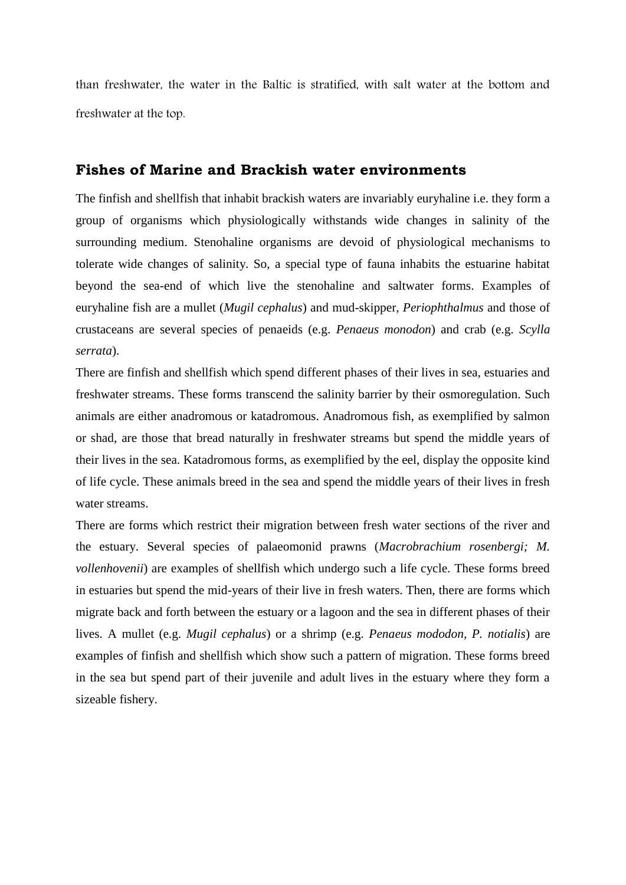than freshwater, the water in the Baltic is stratified, with salt water at the bottom and freshwater at the top.

## **Fishes of Marine and Brackish water environments**

The finfish and shellfish that inhabit brackish waters are invariably euryhaline i.e. they form a group of organisms which physiologically withstands wide changes in salinity of the surrounding medium. Stenohaline organisms are devoid of physiological mechanisms to tolerate wide changes of salinity. So, a special type of fauna inhabits the estuarine habitat beyond the sea-end of which live the stenohaline and saltwater forms. Examples of euryhaline fish are a mullet (*Mugil cephalus*) and mud-skipper, *Periophthalmus* and those of crustaceans are several species of penaeids (e.g. *Penaeus monodon*) and crab (e.g. *Scylla serrata*).

There are finfish and shellfish which spend different phases of their lives in sea, estuaries and freshwater streams. These forms transcend the salinity barrier by their osmoregulation. Such animals are either anadromous or katadromous. Anadromous fish, as exemplified by salmon or shad, are those that bread naturally in freshwater streams but spend the middle years of their lives in the sea. Katadromous forms, as exemplified by the eel, display the opposite kind of life cycle. These animals breed in the sea and spend the middle years of their lives in fresh water streams.

There are forms which restrict their migration between fresh water sections of the river and the estuary. Several species of palaeomonid prawns (*Macrobrachium rosenbergi; M. vollenhovenii*) are examples of shellfish which undergo such a life cycle. These forms breed in estuaries but spend the mid-years of their live in fresh waters. Then, there are forms which migrate back and forth between the estuary or a lagoon and the sea in different phases of their lives. A mullet (e.g. *Mugil cephalus*) or a shrimp (e.g. *Penaeus mododon, P. notialis*) are examples of finfish and shellfish which show such a pattern of migration. These forms breed in the sea but spend part of their juvenile and adult lives in the estuary where they form a sizeable fishery.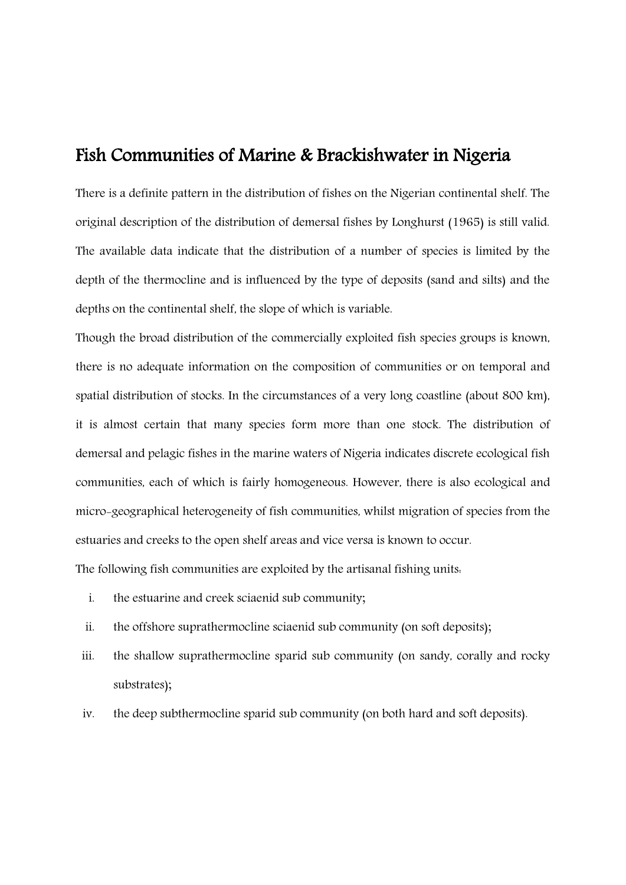## Fish Communities of Marine & Brackishwater in Nigeria

There is a definite pattern in the distribution of fishes on the Nigerian continental shelf. The original description of the distribution of demersal fishes by Longhurst (1965) is still valid. The available data indicate that the distribution of a number of species is limited by the depth of the thermocline and is influenced by the type of deposits (sand and silts) and the depths on the continental shelf, the slope of which is variable.

Though the broad distribution of the commercially exploited fish species groups is known, there is no adequate information on the composition of communities or on temporal and spatial distribution of stocks. In the circumstances of a very long coastline (about 800 km), it is almost certain that many species form more than one stock. The distribution of demersal and pelagic fishes in the marine waters of Nigeria indicates discrete ecological fish communities, each of which is fairly homogeneous. However, there is also ecological and micro-geographical heterogeneity of fish communities, whilst migration of species from the estuaries and creeks to the open shelf areas and vice versa is known to occur. The following fish communities are exploited by the artisanal fishing units:

- i. the estuarine and creek sciaenid sub community;
- ii. the offshore suprathermocline sciaenid sub community (on soft deposits);
- iii. the shallow suprathermocline sparid sub community (on sandy, corally and rocky substrates);
- iv. the deep subthermocline sparid sub community (on both hard and soft deposits).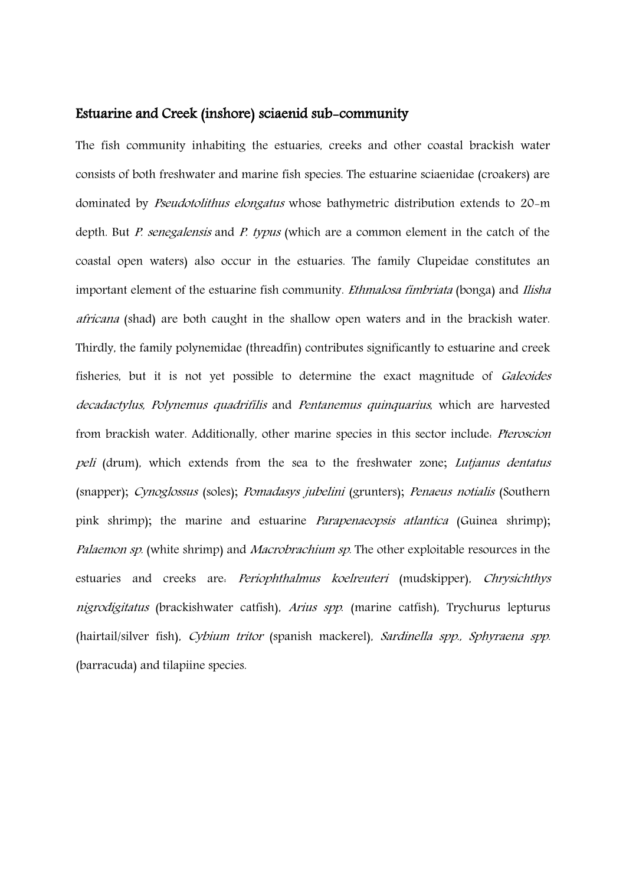#### Estuarine and Creek (inshore) sciaenid sub-community

The fish community inhabiting the estuaries, creeks and other coastal brackish water consists of both freshwater and marine fish species. The estuarine sciaenidae (croakers) are dominated by Pseudotolithus elongatus whose bathymetric distribution extends to 20-m depth. But *P. senegalensis* and *P. typus* (which are a common element in the catch of the coastal open waters) also occur in the estuaries. The family Clupeidae constitutes an important element of the estuarine fish community. *Ethmalosa fimbriata* (bonga) and *Ilisha africana* (shad) are both caught in the shallow open waters and in the brackish water. Thirdly, the family polynemidae (threadfin) contributes significantly to estuarine and creek fisheries, but it is not yet possible to determine the exact magnitude of Galeoides decadactylus, Polynemus quadrifilis and Pentanemus quinquarius, which are harvested from brackish water. Additionally, other marine species in this sector include: Pteroscion peli (drum), which extends from the sea to the freshwater zone; Lutjanus dentatus (snapper); Cynoglossus (soles); Pomadasys jubelini (grunters); Penaeus notialis (Southern pink shrimp); the marine and estuarine *Parapenaeopsis atlantica* (Guinea shrimp); Palaemon sp. (white shrimp) and *Macrobrachium sp*. The other exploitable resources in the estuaries and creeks are: Periophthalmus koelreuteri (mudskipper), Chrysichthys nigrodigitatus (brackishwater catfish), Arius spp. (marine catfish), Trychurus lepturus (hairtail/silver fish), Cybium tritor (spanish mackerel), Sardinella spp., Sphyraena spp. (barracuda) and tilapiine species.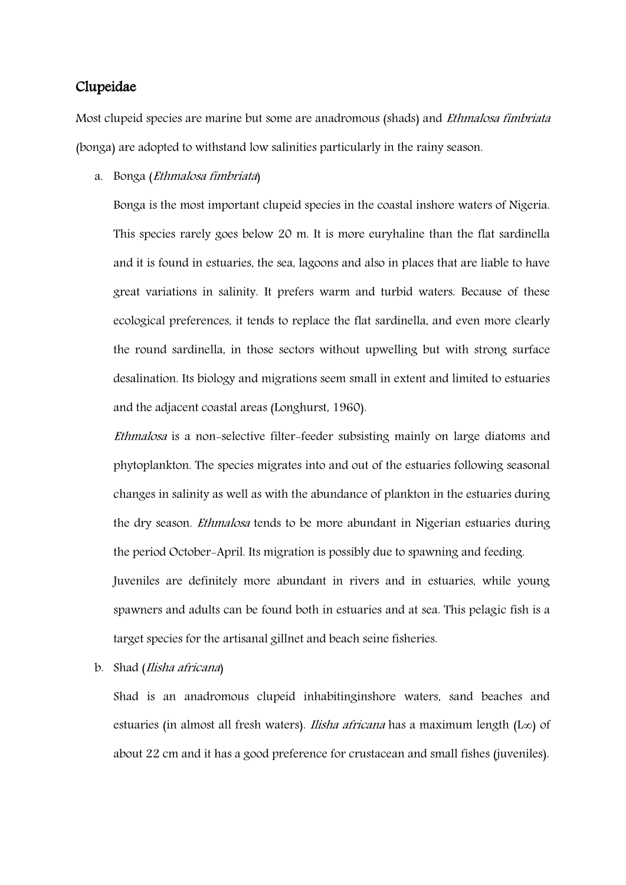## Clupeidae

Most clupeid species are marine but some are anadromous (shads) and Ethmalosa fimbriata (bonga) are adopted to withstand low salinities particularly in the rainy season.

a. Bonga (Ethmalosa fimbriata)

Bonga is the most important clupeid species in the coastal inshore waters of Nigeria. This species rarely goes below 20 m. It is more euryhaline than the flat sardinella and it is found in estuaries, the sea, lagoons and also in places that are liable to have great variations in salinity. It prefers warm and turbid waters. Because of these ecological preferences, it tends to replace the flat sardinella, and even more clearly the round sardinella, in those sectors without upwelling but with strong surface desalination. Its biology and migrations seem small in extent and limited to estuaries and the adjacent coastal areas (Longhurst, 1960).

Ethmalosa is a non-selective filter-feeder subsisting mainly on large diatoms and phytoplankton. The species migrates into and out of the estuaries following seasonal changes in salinity as well as with the abundance of plankton in the estuaries during the dry season. Ethmalosa tends to be more abundant in Nigerian estuaries during the period October-April. Its migration is possibly due to spawning and feeding. Juveniles are definitely more abundant in rivers and in estuaries, while young spawners and adults can be found both in estuaries and at sea. This pelagic fish is a target species for the artisanal gillnet and beach seine fisheries.

b. Shad (Ilisha africana)

Shad is an anadromous clupeid inhabitinginshore waters, sand beaches and estuaries (in almost all fresh waters). Ilisha africana has a maximum length (L∞) of about 22 cm and it has a good preference for crustacean and small fishes (juveniles).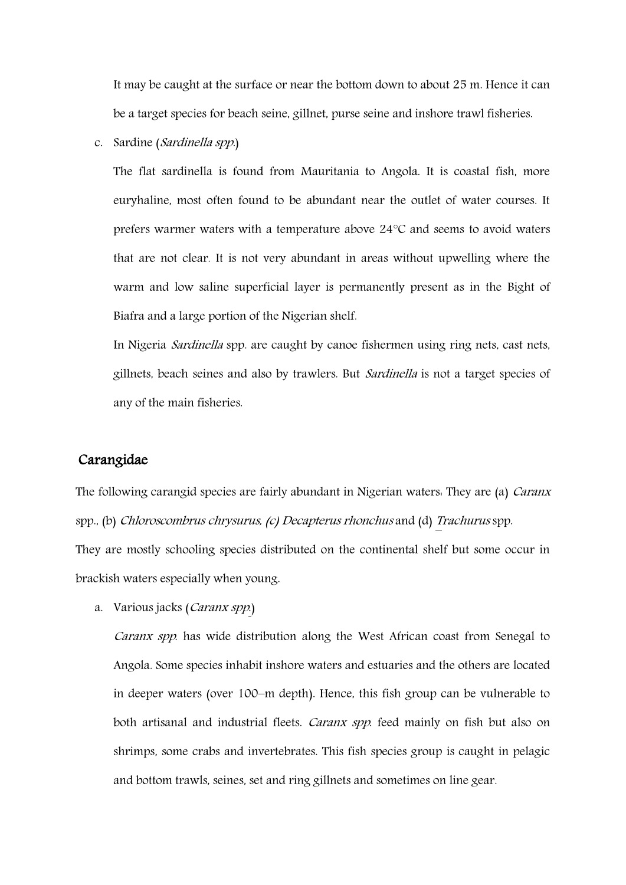It may be caught at the surface or near the bottom down to about 25 m. Hence it can be a target species for beach seine, gillnet, purse seine and inshore trawl fisheries.

c. Sardine (Sardinella spp.)

The flat sardinella is found from Mauritania to Angola. It is coastal fish, more euryhaline, most often found to be abundant near the outlet of water courses. It prefers warmer waters with a temperature above 24°C and seems to avoid waters that are not clear. It is not very abundant in areas without upwelling where the warm and low saline superficial layer is permanently present as in the Bight of Biafra and a large portion of the Nigerian shelf.

In Nigeria Sardinella spp. are caught by canoe fishermen using ring nets, cast nets, gillnets, beach seines and also by trawlers. But Sardinella is not a target species of any of the main fisheries.

#### Carangidae

The following carangid species are fairly abundant in Nigerian waters. They are (a) *Caranx* spp., (b) Chloroscombrus chrysurus, (c) Decapterus rhonchus and (d) Trachurus spp. They are mostly schooling species distributed on the continental shelf but some occur in brackish waters especially when young.

a. Various jacks (Caranx spp.)

Caranx spp. has wide distribution along the West African coast from Senegal to Angola. Some species inhabit inshore waters and estuaries and the others are located in deeper waters (over 100–m depth). Hence, this fish group can be vulnerable to both artisanal and industrial fleets. Caranx spp. feed mainly on fish but also on shrimps, some crabs and invertebrates. This fish species group is caught in pelagic and bottom trawls, seines, set and ring gillnets and sometimes on line gear.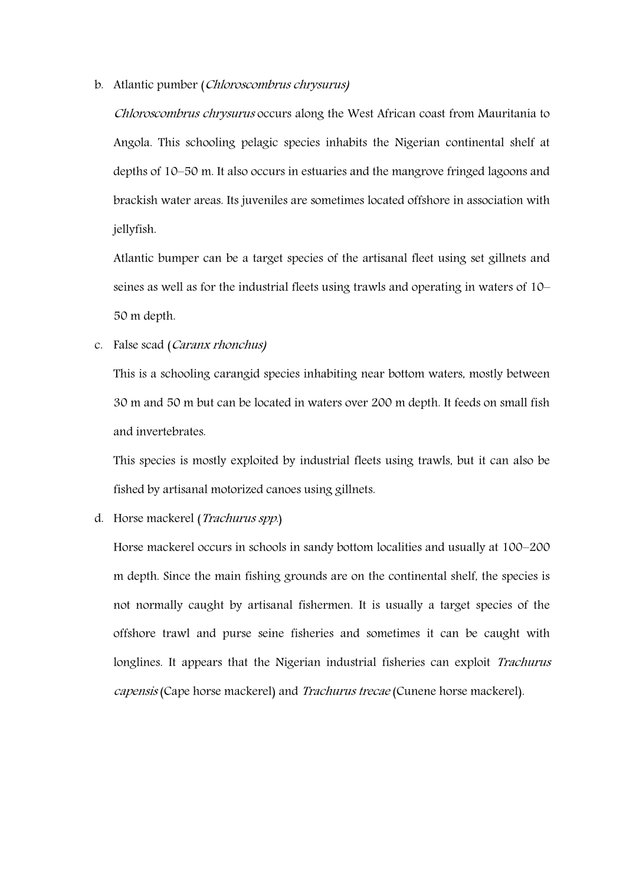#### b. Atlantic pumber (Chloroscombrus chrysurus)

Chloroscombrus chrysurus occurs along the West African coast from Mauritania to Angola. This schooling pelagic species inhabits the Nigerian continental shelf at depths of 10–50 m. It also occurs in estuaries and the mangrove fringed lagoons and brackish water areas. Its juveniles are sometimes located offshore in association with jellyfish.

Atlantic bumper can be a target species of the artisanal fleet using set gillnets and seines as well as for the industrial fleets using trawls and operating in waters of 10– 50 m depth.

#### c. False scad (Caranx rhonchus)

This is a schooling carangid species inhabiting near bottom waters, mostly between 30 m and 50 m but can be located in waters over 200 m depth. It feeds on small fish and invertebrates.

This species is mostly exploited by industrial fleets using trawls, but it can also be fished by artisanal motorized canoes using gillnets.

#### d. Horse mackerel (Trachurus spp.)

Horse mackerel occurs in schools in sandy bottom localities and usually at 100–200 m depth. Since the main fishing grounds are on the continental shelf, the species is not normally caught by artisanal fishermen. It is usually a target species of the offshore trawl and purse seine fisheries and sometimes it can be caught with longlines. It appears that the Nigerian industrial fisheries can exploit Trachurus capensis (Cape horse mackerel) and Trachurus trecae (Cunene horse mackerel).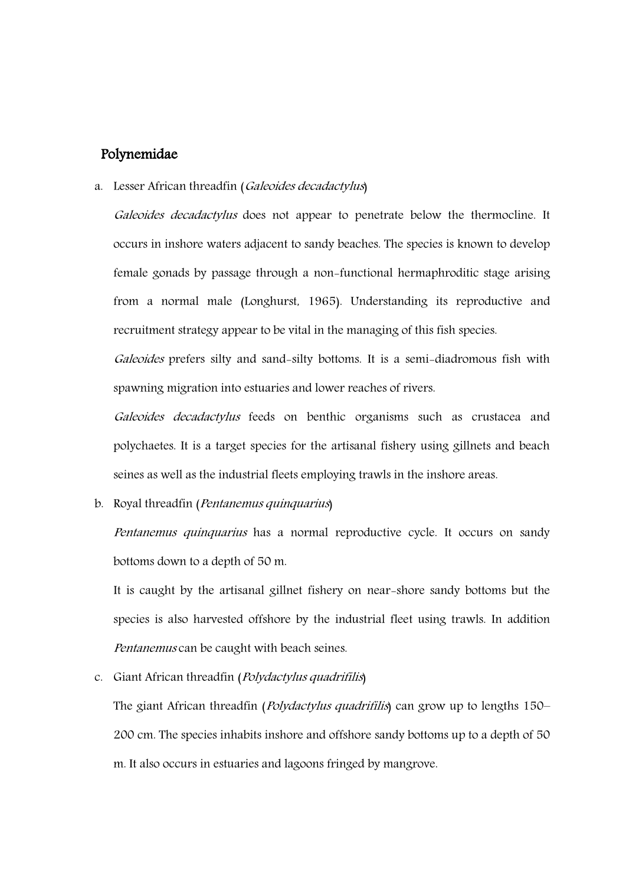### Polynemidae

#### a. Lesser African threadfin (Galeoides decadactylus)

Galeoides decadactylus does not appear to penetrate below the thermocline. It occurs in inshore waters adjacent to sandy beaches. The species is known to develop female gonads by passage through a non-functional hermaphroditic stage arising from a normal male (Longhurst, 1965). Understanding its reproductive and recruitment strategy appear to be vital in the managing of this fish species.

Galeoides prefers silty and sand-silty bottoms. It is a semi-diadromous fish with spawning migration into estuaries and lower reaches of rivers.

Galeoides decadactylus feeds on benthic organisms such as crustacea and polychaetes. It is a target species for the artisanal fishery using gillnets and beach seines as well as the industrial fleets employing trawls in the inshore areas.

b. Royal threadfin (Pentanemus quinquarius)

Pentanemus quinquarius has a normal reproductive cycle. It occurs on sandy bottoms down to a depth of 50 m.

It is caught by the artisanal gillnet fishery on near-shore sandy bottoms but the species is also harvested offshore by the industrial fleet using trawls. In addition Pentanemus can be caught with beach seines.

### c. Giant African threadfin (Polydactylus quadrifilis)

The giant African threadfin (*Polydactylus quadrifilis*) can grow up to lengths 150– 200 cm. The species inhabits inshore and offshore sandy bottoms up to a depth of 50 m. It also occurs in estuaries and lagoons fringed by mangrove.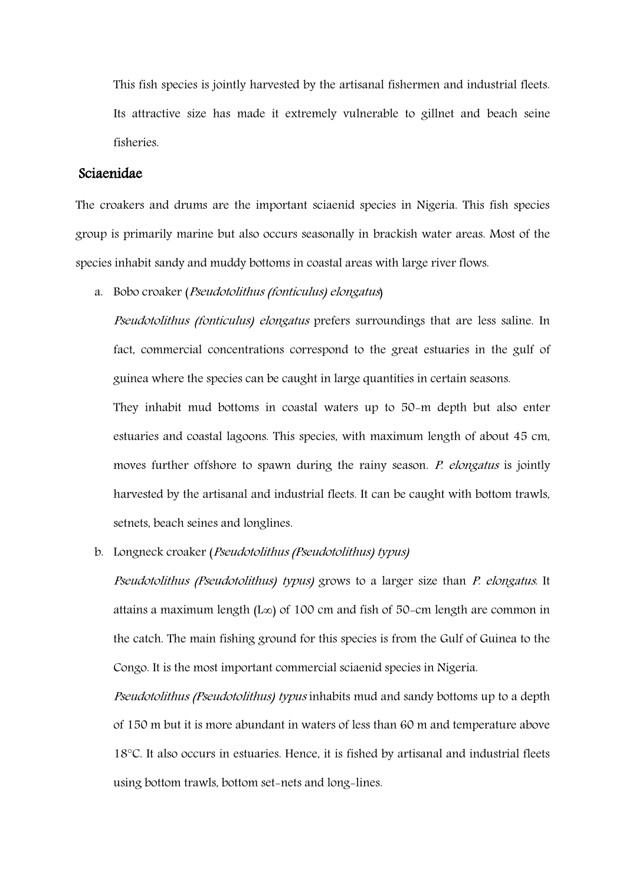This fish species is jointly harvested by the artisanal fishermen and industrial fleets. Its attractive size has made it extremely vulnerable to gillnet and beach seine fisheries.

## Sciaenidae

The croakers and drums are the important sciaenid species in Nigeria. This fish species group is primarily marine but also occurs seasonally in brackish water areas. Most of the species inhabit sandy and muddy bottoms in coastal areas with large river flows.

a. Bobo croaker (Pseudotolithus (fonticulus) elongatus)

Pseudotolithus (fonticulus) elongatus prefers surroundings that are less saline. In fact, commercial concentrations correspond to the great estuaries in the gulf of guinea where the species can be caught in large quantities in certain seasons.

They inhabit mud bottoms in coastal waters up to 50-m depth but also enter estuaries and coastal lagoons. This species, with maximum length of about 45 cm, moves further offshore to spawn during the rainy season. P. elongatus is jointly harvested by the artisanal and industrial fleets. It can be caught with bottom trawls, setnets, beach seines and longlines.

b. Longneck croaker (Pseudotolithus (Pseudotolithus) typus)

Pseudotolithus (Pseudotolithus) typus) grows to a larger size than P. elongatus. It attains a maximum length (L∞) of 100 cm and fish of 50-cm length are common in the catch. The main fishing ground for this species is from the Gulf of Guinea to the Congo. It is the most important commercial sciaenid species in Nigeria.

Pseudotolithus (Pseudotolithus) typus inhabits mud and sandy bottoms up to a depth of 150 m but it is more abundant in waters of less than 60 m and temperature above 18°C. It also occurs in estuaries. Hence, it is fished by artisanal and industrial fleets using bottom trawls, bottom set-nets and long-lines.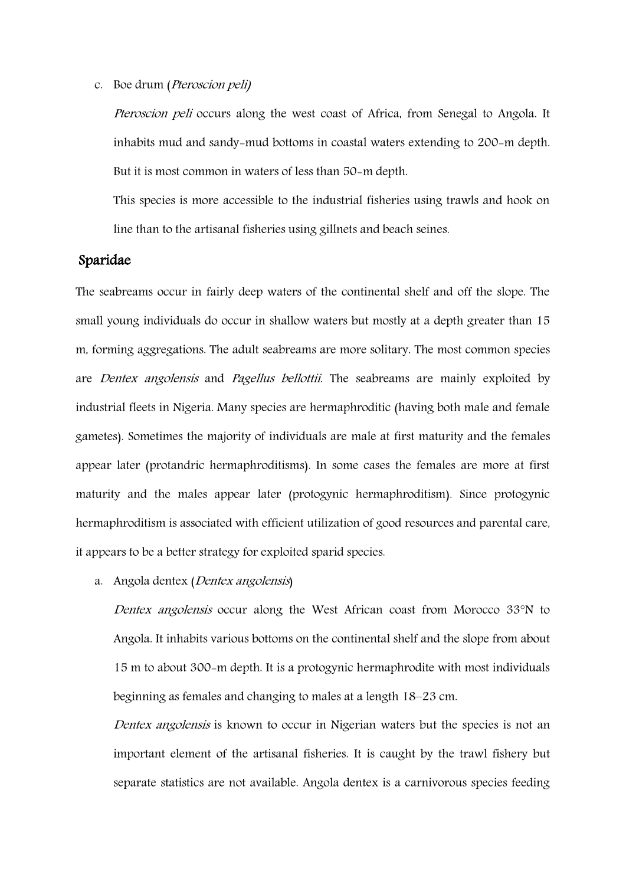c. Boe drum (Pteroscion peli)

Pteroscion peli occurs along the west coast of Africa, from Senegal to Angola. It inhabits mud and sandy-mud bottoms in coastal waters extending to 200-m depth. But it is most common in waters of less than 50-m depth.

This species is more accessible to the industrial fisheries using trawls and hook on line than to the artisanal fisheries using gillnets and beach seines.

## Sparidae

The seabreams occur in fairly deep waters of the continental shelf and off the slope. The small young individuals do occur in shallow waters but mostly at a depth greater than 15 m, forming aggregations. The adult seabreams are more solitary. The most common species are Dentex angolensis and Pagellus bellottii. The seabreams are mainly exploited by industrial fleets in Nigeria. Many species are hermaphroditic (having both male and female gametes). Sometimes the majority of individuals are male at first maturity and the females appear later (protandric hermaphroditisms). In some cases the females are more at first maturity and the males appear later (protogynic hermaphroditism). Since protogynic hermaphroditism is associated with efficient utilization of good resources and parental care, it appears to be a better strategy for exploited sparid species.

a. Angola dentex (Dentex angolensis)

Dentex angolensis occur along the West African coast from Morocco 33°N to Angola. It inhabits various bottoms on the continental shelf and the slope from about 15 m to about 300-m depth. It is a protogynic hermaphrodite with most individuals beginning as females and changing to males at a length 18–23 cm.

Dentex angolensis is known to occur in Nigerian waters but the species is not an important element of the artisanal fisheries. It is caught by the trawl fishery but separate statistics are not available. Angola dentex is a carnivorous species feeding